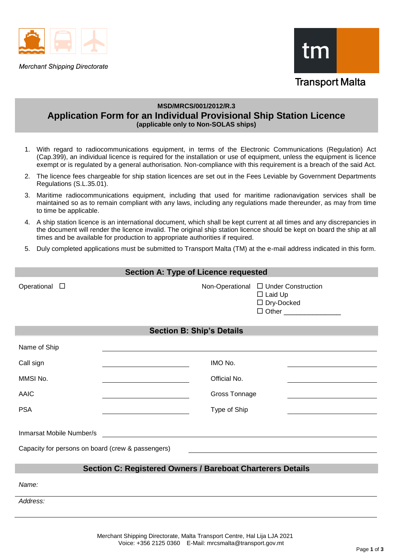

**Merchant Shipping Directorate** 



# **MSD/MRCS/001/2012/R.3 Application Form for an Individual Provisional Ship Station Licence (applicable only to Non-SOLAS ships)**

- 1. With regard to radiocommunications equipment, in terms of the Electronic Communications (Regulation) Act (Cap.399), an individual licence is required for the installation or use of equipment, unless the equipment is licence exempt or is regulated by a general authorisation. Non-compliance with this requirement is a breach of the said Act.
- 2. The licence fees chargeable for ship station licences are set out in the Fees Leviable by Government Departments Regulations (S.L.35.01).
- 3. Maritime radiocommunications equipment, including that used for maritime radionavigation services shall be maintained so as to remain compliant with any laws, including any regulations made thereunder, as may from time to time be applicable.
- 4. A ship station licence is an international document, which shall be kept current at all times and any discrepancies in the document will render the licence invalid. The original ship station licence should be kept on board the ship at all times and be available for production to appropriate authorities if required.
- 5. Duly completed applications must be submitted to Transport Malta (TM) at the e-mail address indicated in this form.

| Section A: Type of Licence requested                                                                                                                                                                  |                 |                                                                                          |  |  |
|-------------------------------------------------------------------------------------------------------------------------------------------------------------------------------------------------------|-----------------|------------------------------------------------------------------------------------------|--|--|
| Operational $\square$                                                                                                                                                                                 | Non-Operational | □ Under Construction<br>$\Box$ Laid Up<br>□ Dry-Docked<br>$\Box$ Other _________________ |  |  |
| <b>Section B: Ship's Details</b>                                                                                                                                                                      |                 |                                                                                          |  |  |
| Name of Ship                                                                                                                                                                                          |                 |                                                                                          |  |  |
| Call sign                                                                                                                                                                                             | IMO No.         |                                                                                          |  |  |
| MMSI No.                                                                                                                                                                                              | Official No.    |                                                                                          |  |  |
| <b>AAIC</b>                                                                                                                                                                                           | Gross Tonnage   |                                                                                          |  |  |
| <b>PSA</b>                                                                                                                                                                                            | Type of Ship    |                                                                                          |  |  |
| Inmarsat Mobile Number/s<br><u> 1980 - Jan Sarajević, politički predstavanju i političku predstavanju i političku predstavanju i političku p</u><br>Capacity for persons on board (crew & passengers) |                 |                                                                                          |  |  |
| <b>Section C: Registered Owners / Bareboat Charterers Details</b>                                                                                                                                     |                 |                                                                                          |  |  |
| Name:                                                                                                                                                                                                 |                 |                                                                                          |  |  |

*Address:*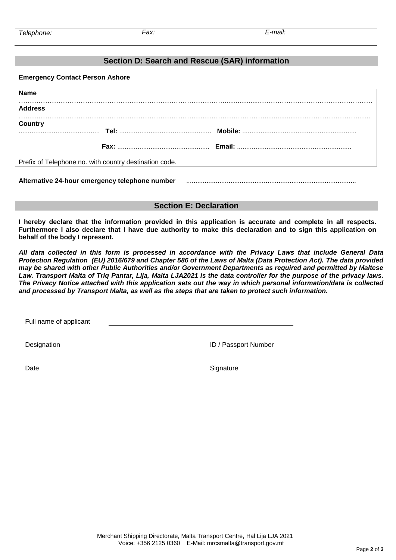## **Section D: Search and Rescue (SAR) information**

**Emergency Contact Person Ashore**

| <b>Name</b>                                            |  |  |  |
|--------------------------------------------------------|--|--|--|
| <b>Address</b>                                         |  |  |  |
| <b>Country</b>                                         |  |  |  |
|                                                        |  |  |  |
| Prefix of Telephone no. with country destination code. |  |  |  |
| Alternative 24-hour emergency telephone number         |  |  |  |

## **Section E: Declaration**

**I hereby declare that the information provided in this application is accurate and complete in all respects. Furthermore I also declare that I have due authority to make this declaration and to sign this application on behalf of the body I represent.** 

*All data collected in this form is processed in accordance with the Privacy Laws that include General Data Protection Regulation (EU) 2016/679 and Chapter 586 of the Laws of Malta (Data Protection Act). The data provided may be shared with other Public Authorities and/or Government Departments as required and permitted by Maltese Law. Transport Malta of Triq Pantar, Lija, Malta LJA2021 is the data controller for the purpose of the privacy laws. The Privacy Notice attached with this application sets out the way in which personal information/data is collected and processed by Transport Malta, as well as the steps that are taken to protect such information.*

Full name of applicant Designation **ID** / Passport Number Date Signature